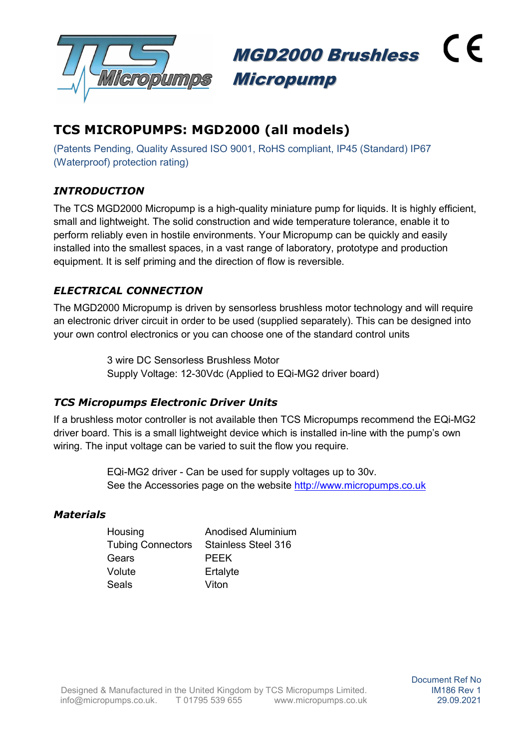

 $\epsilon$ MGD2000 Brushless Micropump

# TCS MICROPUMPS: MGD2000 (all models)

(Patents Pending, Quality Assured ISO 9001, RoHS compliant, IP45 (Standard) IP67 (Waterproof) protection rating)

# **INTRODUCTION**

The TCS MGD2000 Micropump is a high-quality miniature pump for liquids. It is highly efficient, small and lightweight. The solid construction and wide temperature tolerance, enable it to perform reliably even in hostile environments. Your Micropump can be quickly and easily installed into the smallest spaces, in a vast range of laboratory, prototype and production equipment. It is self priming and the direction of flow is reversible.

## ELECTRICAL CONNECTION

The MGD2000 Micropump is driven by sensorless brushless motor technology and will require an electronic driver circuit in order to be used (supplied separately). This can be designed into your own control electronics or you can choose one of the standard control units

> 3 wire DC Sensorless Brushless Motor Supply Voltage: 12-30Vdc (Applied to EQi-MG2 driver board)

#### TCS Micropumps Electronic Driver Units

If a brushless motor controller is not available then TCS Micropumps recommend the EQi-MG2 driver board. This is a small lightweight device which is installed in-line with the pump's own wiring. The input voltage can be varied to suit the flow you require.

> EQi-MG2 driver - Can be used for supply voltages up to 30v. See the Accessories page on the website http://www.micropumps.co.uk

#### **Materials**

| Housing                  | Anodised Aluminium  |
|--------------------------|---------------------|
| <b>Tubing Connectors</b> | Stainless Steel 316 |
| Gears                    | PFFK                |
| Volute                   | Ertalyte            |
| Seals                    | Viton               |